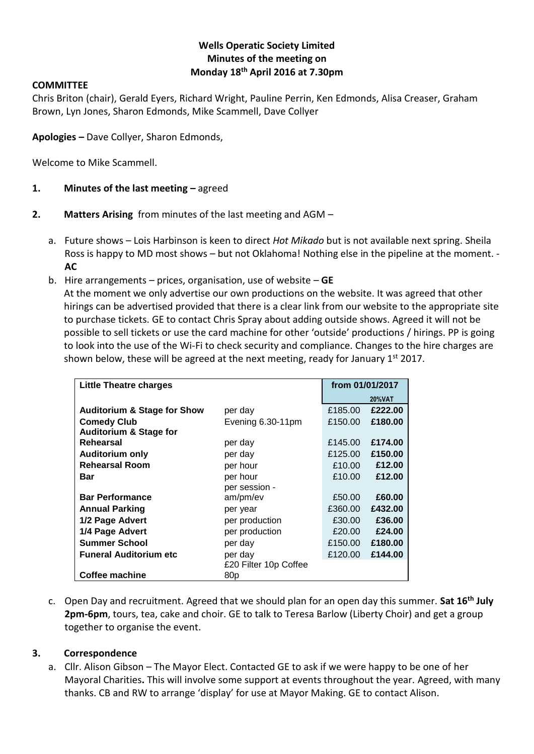#### **Wells Operatic Society Limited Minutes of the meeting on Monday 18th April 2016 at 7.30pm**

#### **COMMITTEE**

Chris Briton (chair), Gerald Eyers, Richard Wright, Pauline Perrin, Ken Edmonds, Alisa Creaser, Graham Brown, Lyn Jones, Sharon Edmonds, Mike Scammell, Dave Collyer

**Apologies –** Dave Collyer, Sharon Edmonds,

Welcome to Mike Scammell.

#### **1. Minutes of the last meeting –** agreed

#### **2. Matters Arising** from minutes of the last meeting and AGM –

- a. Future shows Lois Harbinson is keen to direct *Hot Mikado* but is not available next spring. Sheila Ross is happy to MD most shows – but not Oklahoma! Nothing else in the pipeline at the moment. -**AC**
- b. Hire arrangements prices, organisation, use of website **GE**

At the moment we only advertise our own productions on the website. It was agreed that other hirings can be advertised provided that there is a clear link from our website to the appropriate site to purchase tickets. GE to contact Chris Spray about adding outside shows. Agreed it will not be possible to sell tickets or use the card machine for other 'outside' productions / hirings. PP is going to look into the use of the Wi-Fi to check security and compliance. Changes to the hire charges are shown below, these will be agreed at the next meeting, ready for January  $1<sup>st</sup> 2017$ .

| Little Theatre charges                 |                       | from 01/01/2017 |               |
|----------------------------------------|-----------------------|-----------------|---------------|
|                                        |                       |                 | <b>20%VAT</b> |
| <b>Auditorium &amp; Stage for Show</b> | per day               | £185.00         | £222.00       |
| <b>Comedy Club</b>                     | Evening 6.30-11pm     | £150.00         | £180.00       |
| <b>Auditorium &amp; Stage for</b>      |                       |                 |               |
| Rehearsal                              | per day               | £145.00         | £174.00       |
| <b>Auditorium only</b>                 | per day               | £125.00         | £150.00       |
| <b>Rehearsal Room</b>                  | per hour              | £10.00          | £12.00        |
| Bar                                    | per hour              | £10.00          | £12.00        |
|                                        | per session -         |                 |               |
| <b>Bar Performance</b>                 | am/pm/ev              | £50.00          | £60.00        |
| <b>Annual Parking</b>                  | per year              | £360.00         | £432.00       |
| 1/2 Page Advert                        | per production        | £30.00          | £36.00        |
| 1/4 Page Advert                        | per production        | £20.00          | £24.00        |
| <b>Summer School</b>                   | per day               | £150.00         | £180.00       |
| <b>Funeral Auditorium etc</b>          | per day               | £120.00         | £144.00       |
|                                        | £20 Filter 10p Coffee |                 |               |
| Coffee machine                         | 80p                   |                 |               |

c. Open Day and recruitment. Agreed that we should plan for an open day this summer. **Sat 16th July 2pm-6pm**, tours, tea, cake and choir. GE to talk to Teresa Barlow (Liberty Choir) and get a group together to organise the event.

#### **3. Correspondence**

a. Cllr. Alison Gibson – The Mayor Elect. Contacted GE to ask if we were happy to be one of her Mayoral Charities**.** This will involve some support at events throughout the year. Agreed, with many thanks. CB and RW to arrange 'display' for use at Mayor Making. GE to contact Alison.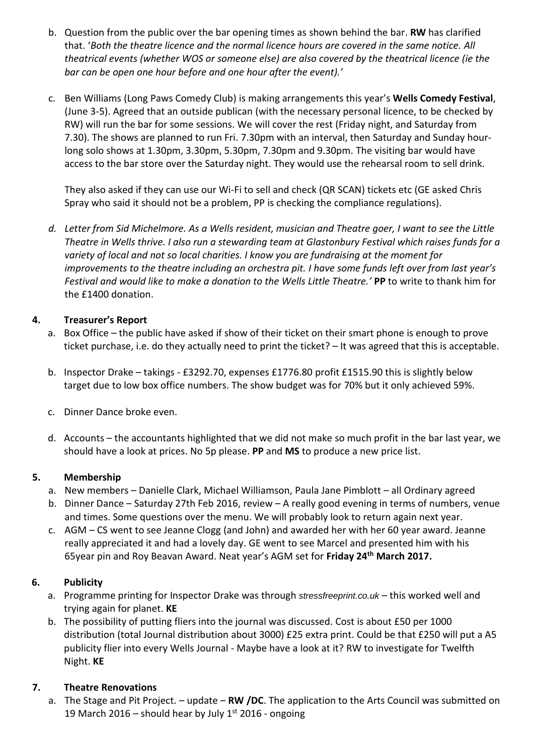- b. Question from the public over the bar opening times as shown behind the bar. **RW** has clarified that. '*Both the theatre licence and the normal licence hours are covered in the same notice. All theatrical events (whether WOS or someone else) are also covered by the theatrical licence (ie the bar can be open one hour before and one hour after the event).'*
- c. Ben Williams (Long Paws Comedy Club) is making arrangements this year's **Wells Comedy Festival**, (June 3-5). Agreed that an outside publican (with the necessary personal licence, to be checked by RW) will run the bar for some sessions. We will cover the rest (Friday night, and Saturday from 7.30). The shows are planned to run Fri. 7.30pm with an interval, then Saturday and Sunday hourlong solo shows at 1.30pm, 3.30pm, 5.30pm, 7.30pm and 9.30pm. The visiting bar would have access to the bar store over the Saturday night. They would use the rehearsal room to sell drink.

They also asked if they can use our Wi-Fi to sell and check (QR SCAN) tickets etc (GE asked Chris Spray who said it should not be a problem, PP is checking the compliance regulations).

*d. Letter from Sid Michelmore. As a Wells resident, musician and Theatre goer, I want to see the Little Theatre in Wells thrive. I also run a stewarding team at Glastonbury Festival which raises funds for a variety of local and not so local charities. I know you are fundraising at the moment for improvements to the theatre including an orchestra pit. I have some funds left over from last year's Festival and would like to make a donation to the Wells Little Theatre.'* **PP** to write to thank him for the £1400 donation.

#### **4. Treasurer's Report**

- a. Box Office the public have asked if show of their ticket on their smart phone is enough to prove ticket purchase, i.e. do they actually need to print the ticket? – It was agreed that this is acceptable.
- b. Inspector Drake takings £3292.70, expenses £1776.80 profit £1515.90 this is slightly below target due to low box office numbers. The show budget was for 70% but it only achieved 59%.
- c. Dinner Dance broke even.
- d. Accounts the accountants highlighted that we did not make so much profit in the bar last year, we should have a look at prices. No 5p please. **PP** and **MS** to produce a new price list.

#### **5. Membership**

- a. New members Danielle Clark, Michael Williamson, Paula Jane Pimblott all Ordinary agreed
- b. Dinner Dance Saturday 27th Feb 2016, review A really good evening in terms of numbers, venue and times. Some questions over the menu. We will probably look to return again next year.
- c. AGM CS went to see Jeanne Clogg (and John) and awarded her with her 60 year award. Jeanne really appreciated it and had a lovely day. GE went to see Marcel and presented him with his 65year pin and Roy Beavan Award. Neat year's AGM set for **Friday 24th March 2017.**

## **6. Publicity**

- a. Programme printing for Inspector Drake was through *stressfreeprint.co.uk* this worked well and trying again for planet. **KE**
- b. The possibility of putting fliers into the journal was discussed. Cost is about £50 per 1000 distribution (total Journal distribution about 3000) £25 extra print. Could be that £250 will put a A5 publicity flier into every Wells Journal - Maybe have a look at it? RW to investigate for Twelfth Night. **KE**

## **7. Theatre Renovations**

a. The Stage and Pit Project. – update – **RW /DC**. The application to the Arts Council was submitted on 19 March 2016 – should hear by July  $1^{st}$  2016 - ongoing